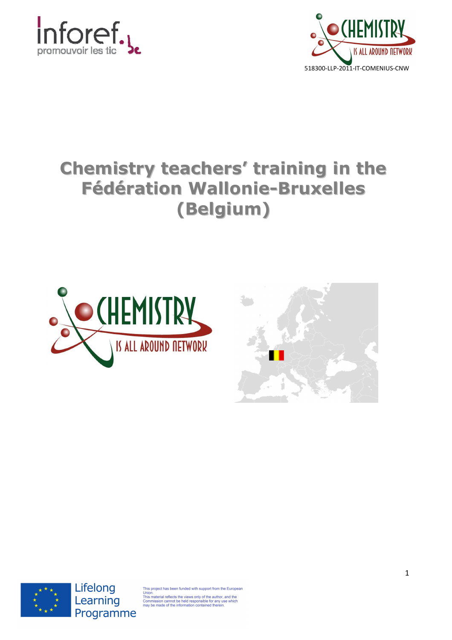



# **Chemistry teachers' training in the Fédération Wallonie-Bruxelles (Belgium)**







Lifelong Learning Programme

project has been funded with support from the European

Union.<br>This material reflects the views only of the author, and the<br>Commission cannot be held responsible for any use which<br>may be made of the information contained therein.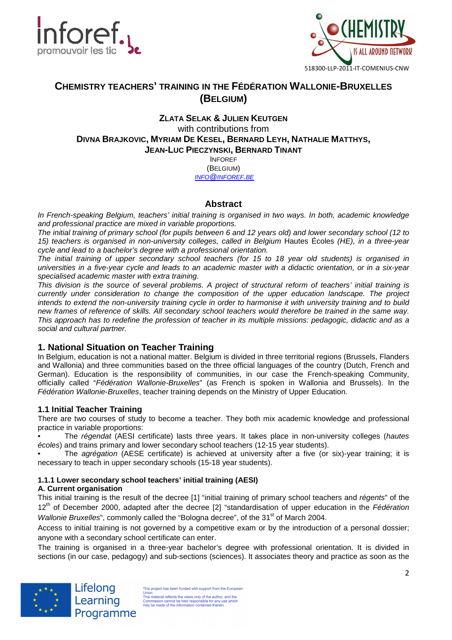



# **CHEMISTRY TEACHERS' TRAINING IN THE FÉDÉRATION WALLONIE-BRUXELLES (BELGIUM)**

#### **ZLATA SELAK & JULIEN KEUTGEN** with contributions from **DIVNA BRAJKOVIC, MYRIAM DE KESEL, BERNARD LEYH, NATHALIE MATTHYS, JEAN-LUC PIECZYNSKI, BERNARD TINANT** INFOREF

(BELGIUM)

INFO@INFOREF.BE

## **Abstract**

In French-speaking Belgium, teachers' initial training is organised in two ways. In both, academic knowledge and professional practice are mixed in variable proportions.

The initial training of primary school (for pupils between 6 and 12 years old) and lower secondary school (12 to 15) teachers is organised in non-university colleges, called in Belgium Hautes Écoles (HE), in a three-year cycle and lead to a bachelor's degree with a professional orientation.

The initial training of upper secondary school teachers (for 15 to 18 year old students) is organised in universities in a five-year cycle and leads to an academic master with a didactic orientation, or in a six-year specialised academic master with extra training.

This division is the source of several problems. A project of structural reform of teachers' initial training is currently under consideration to change the composition of the upper education landscape. The project intends to extend the non-university training cycle in order to harmonise it with university training and to build new frames of reference of skills. All secondary school teachers would therefore be trained in the same way. This approach has to redefine the profession of teacher in its multiple missions: pedagogic, didactic and as a social and cultural partner.

## **1. National Situation on Teacher Training**

In Belgium, education is not a national matter. Belgium is divided in three territorial regions (Brussels, Flanders and Wallonia) and three communities based on the three official languages of the country (Dutch, French and German). Education is the responsibility of communities, in our case the French-speaking Community, officially called "Fédération Wallonie-Bruxelles" (as French is spoken in Wallonia and Brussels). In the Fédération Wallonie-Bruxelles, teacher training depends on the Ministry of Upper Education.

#### **1.1 Initial Teacher Training**

There are two courses of study to become a teacher. They both mix academic knowledge and professional practice in variable proportions:

The régendat (AESI certificate) lasts three years. It takes place in non-university colleges (hautes écoles) and trains primary and lower secondary school teachers (12-15 year students).

The *agrégation* (AESE certificate) is achieved at university after a five (or six)-year training; it is necessary to teach in upper secondary schools (15-18 year students).

## **1.1.1 Lower secondary school teachers' initial training (AESI)**

#### **A. Current organisation**

This initial training is the result of the decree [1] "initial training of primary school teachers and régents" of the  $12<sup>th</sup>$  of December 2000, adapted after the decree [2] "standardisation of upper education in the Fédération Wallonie Bruxelles", commonly called the "Bologna decree", of the  $31<sup>st</sup>$  of March 2004.

Access to initial training is not governed by a competitive exam or by the introduction of a personal dossier; anyone with a secondary school certificate can enter.

The training is organised in a three-year bachelor's degree with professional orientation. It is divided in sections (in our case, pedagogy) and sub-sections (sciences). It associates theory and practice as soon as the

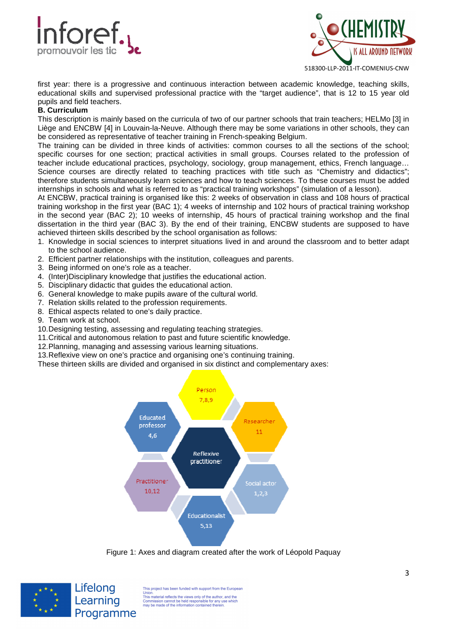



first year: there is a progressive and continuous interaction between academic knowledge, teaching skills, educational skills and supervised professional practice with the "target audience", that is 12 to 15 year old pupils and field teachers.

#### **B. Curriculum**

This description is mainly based on the curricula of two of our partner schools that train teachers; HELMo [3] in Liège and ENCBW [4] in Louvain-la-Neuve. Although there may be some variations in other schools, they can be considered as representative of teacher training in French-speaking Belgium.

The training can be divided in three kinds of activities: common courses to all the sections of the school; specific courses for one section; practical activities in small groups. Courses related to the profession of teacher include educational practices, psychology, sociology, group management, ethics, French language… Science courses are directly related to teaching practices with title such as "Chemistry and didactics"; therefore students simultaneously learn sciences and how to teach sciences. To these courses must be added internships in schools and what is referred to as "practical training workshops" (simulation of a lesson).

At ENCBW, practical training is organised like this: 2 weeks of observation in class and 108 hours of practical training workshop in the first year (BAC 1); 4 weeks of internship and 102 hours of practical training workshop in the second year (BAC 2); 10 weeks of internship, 45 hours of practical training workshop and the final dissertation in the third year (BAC 3). By the end of their training, ENCBW students are supposed to have achieved thirteen skills described by the school organisation as follows:

- 1. Knowledge in social sciences to interpret situations lived in and around the classroom and to better adapt to the school audience.
- 2. Efficient partner relationships with the institution, colleagues and parents.
- 3. Being informed on one's role as a teacher.
- 4. (Inter)Disciplinary knowledge that justifies the educational action.
- 5. Disciplinary didactic that guides the educational action.
- 6. General knowledge to make pupils aware of the cultural world.
- 7. Relation skills related to the profession requirements.
- 8. Ethical aspects related to one's daily practice.
- 9. Team work at school.
- 10. Designing testing, assessing and regulating teaching strategies.
- 11. Critical and autonomous relation to past and future scientific knowledge.
- 12. Planning, managing and assessing various learning situations.
- 13. Reflexive view on one's practice and organising one's continuing training.
- These thirteen skills are divided and organised in six distinct and complementary axes:



Figure 1: Axes and diagram created after the work of Léopold Paquay

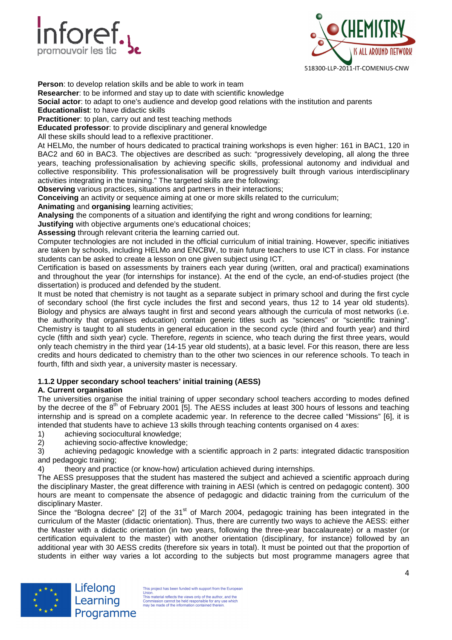



**Person**: to develop relation skills and be able to work in team

**Researcher**: to be informed and stay up to date with scientific knowledge

**Social actor**: to adapt to one's audience and develop good relations with the institution and parents

**Educationalist**: to have didactic skills

**Practitioner:** to plan, carry out and test teaching methods

**Educated professor**: to provide disciplinary and general knowledge

All these skills should lead to a reflexive practitioner.

At HELMo, the number of hours dedicated to practical training workshops is even higher: 161 in BAC1, 120 in BAC2 and 60 in BAC3. The objectives are described as such: "progressively developing, all along the three years, teaching professionalisation by achieving specific skills, professional autonomy and individual and collective responsibility. This professionalisation will be progressively built through various interdisciplinary activities integrating in the training." The targeted skills are the following:

**Observing** various practices, situations and partners in their interactions;

**Conceiving** an activity or sequence aiming at one or more skills related to the curriculum;

**Animating** and **organising** learning activities;

**Analysing** the components of a situation and identifying the right and wrong conditions for learning;

**Justifying** with objective arguments one's educational choices;

**Assessing** through relevant criteria the learning carried out.

Computer technologies are not included in the official curriculum of initial training. However, specific initiatives are taken by schools, including HELMo and ENCBW, to train future teachers to use ICT in class. For instance students can be asked to create a lesson on one given subject using ICT.

Certification is based on assessments by trainers each year during (written, oral and practical) examinations and throughout the year (for internships for instance). At the end of the cycle, an end-of-studies project (the dissertation) is produced and defended by the student.

It must be noted that chemistry is not taught as a separate subject in primary school and during the first cycle of secondary school (the first cycle includes the first and second years, thus 12 to 14 year old students). Biology and physics are always taught in first and second years although the curricula of most networks (i.e. the authority that organises education) contain generic titles such as "sciences" or "scientific training". Chemistry is taught to all students in general education in the second cycle (third and fourth year) and third cycle (fifth and sixth year) cycle. Therefore, regents in science, who teach during the first three years, would only teach chemistry in the third year (14-15 year old students), at a basic level. For this reason, there are less credits and hours dedicated to chemistry than to the other two sciences in our reference schools. To teach in fourth, fifth and sixth year, a university master is necessary.

#### **1.1.2 Upper secondary school teachers' initial training (AESS)**

#### **A. Current organisation**

The universities organise the initial training of upper secondary school teachers according to modes defined by the decree of the  $8<sup>th</sup>$  of February 2001 [5]. The AESS includes at least 300 hours of lessons and teaching internship and is spread on a complete academic year. In reference to the decree called "Missions" [6], it is intended that students have to achieve 13 skills through teaching contents organised on 4 axes:

- 1) achieving sociocultural knowledge;
- 2) achieving socio-affective knowledge;

3) achieving pedagogic knowledge with a scientific approach in 2 parts: integrated didactic transposition and pedagogic training;

4) theory and practice (or know-how) articulation achieved during internships.

The AESS presupposes that the student has mastered the subject and achieved a scientific approach during the disciplinary Master, the great difference with training in AESI (which is centred on pedagogic content). 300 hours are meant to compensate the absence of pedagogic and didactic training from the curriculum of the disciplinary Master.

Since the "Bologna decree" [2] of the 31<sup>st</sup> of March 2004, pedagogic training has been integrated in the curriculum of the Master (didactic orientation). Thus, there are currently two ways to achieve the AESS: either the Master with a didactic orientation (in two years, following the three-year baccalaureate) or a master (or certification equivalent to the master) with another orientation (disciplinary, for instance) followed by an additional year with 30 AESS credits (therefore six years in total). It must be pointed out that the proportion of students in either way varies a lot according to the subjects but most programme managers agree that

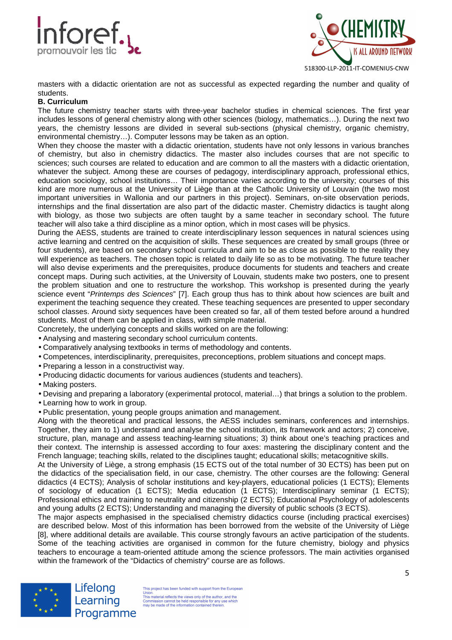



masters with a didactic orientation are not as successful as expected regarding the number and quality of students.

#### **B. Curriculum**

The future chemistry teacher starts with three-year bachelor studies in chemical sciences. The first year includes lessons of general chemistry along with other sciences (biology, mathematics…). During the next two years, the chemistry lessons are divided in several sub-sections (physical chemistry, organic chemistry, environmental chemistry…). Computer lessons may be taken as an option.

When they choose the master with a didactic orientation, students have not only lessons in various branches of chemistry, but also in chemistry didactics. The master also includes courses that are not specific to sciences; such courses are related to education and are common to all the masters with a didactic orientation, whatever the subject. Among these are courses of pedagogy, interdisciplinary approach, professional ethics, education sociology, school institutions… Their importance varies according to the university; courses of this kind are more numerous at the University of Liège than at the Catholic University of Louvain (the two most important universities in Wallonia and our partners in this project). Seminars, on-site observation periods, internships and the final dissertation are also part of the didactic master. Chemistry didactics is taught along with biology, as those two subjects are often taught by a same teacher in secondary school. The future teacher will also take a third discipline as a minor option, which in most cases will be physics.

During the AESS, students are trained to create interdisciplinary lesson sequences in natural sciences using active learning and centred on the acquisition of skills. These sequences are created by small groups (three or four students), are based on secondary school curricula and aim to be as close as possible to the reality they will experience as teachers. The chosen topic is related to daily life so as to be motivating. The future teacher will also devise experiments and the prerequisites, produce documents for students and teachers and create concept maps. During such activities, at the University of Louvain, students make two posters, one to present the problem situation and one to restructure the workshop. This workshop is presented during the yearly science event "Printemps des Sciences" [7]. Each group thus has to think about how sciences are built and experiment the teaching sequence they created. These teaching sequences are presented to upper secondary school classes. Around sixty sequences have been created so far, all of them tested before around a hundred students. Most of them can be applied in class, with simple material.

Concretely, the underlying concepts and skills worked on are the following:

- Analysing and mastering secondary school curriculum contents.
- Comparatively analysing textbooks in terms of methodology and contents.
- Competences, interdisciplinarity, prerequisites, preconceptions, problem situations and concept maps.
- Preparing a lesson in a constructivist way.
- Producing didactic documents for various audiences (students and teachers).
- Making posters.
- Devising and preparing a laboratory (experimental protocol, material…) that brings a solution to the problem.
- Learning how to work in group.

Lifelong

Learning

Programme

• Public presentation, young people groups animation and management.

Along with the theoretical and practical lessons, the AESS includes seminars, conferences and internships. Together, they aim to 1) understand and analyse the school institution, its framework and actors; 2) conceive, structure, plan, manage and assess teaching-learning situations; 3) think about one's teaching practices and their context. The internship is assessed according to four axes: mastering the disciplinary content and the French language; teaching skills, related to the disciplines taught; educational skills; metacognitive skills.

At the University of Liège, a strong emphasis (15 ECTS out of the total number of 30 ECTS) has been put on the didactics of the specialisation field, in our case, chemistry. The other courses are the following: General didactics (4 ECTS); Analysis of scholar institutions and key-players, educational policies (1 ECTS); Elements of sociology of education (1 ECTS); Media education (1 ECTS); Interdisciplinary seminar (1 ECTS); Professional ethics and training to neutrality and citizenship (2 ECTS); Educational Psychology of adolescents and young adults (2 ECTS); Understanding and managing the diversity of public schools (3 ECTS).

The major aspects emphasised in the specialised chemistry didactics course (including practical exercises) are described below. Most of this information has been borrowed from the website of the University of Liège [8], where additional details are available. This course strongly favours an active participation of the students. Some of the teaching activities are organised in common for the future chemistry, biology and physics teachers to encourage a team-oriented attitude among the science professors. The main activities organised within the framework of the "Didactics of chemistry" course are as follows.

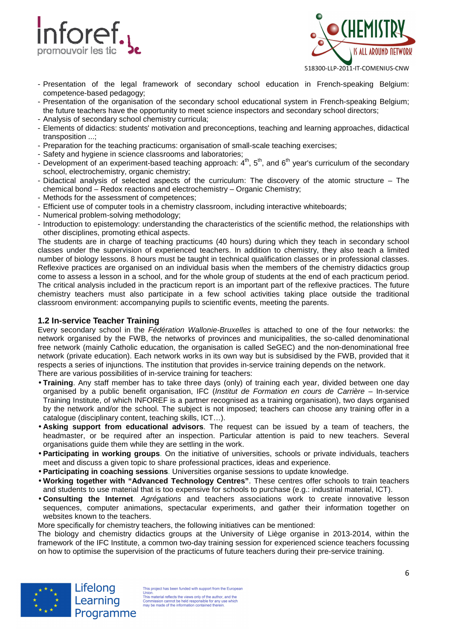



- Presentation of the legal framework of secondary school education in French-speaking Belgium: competence-based pedagogy;
- Presentation of the organisation of the secondary school educational system in French-speaking Belgium; the future teachers have the opportunity to meet science inspectors and secondary school directors;
- Analysis of secondary school chemistry curricula;
- Elements of didactics: students' motivation and preconceptions, teaching and learning approaches, didactical transposition ...;
- Preparation for the teaching practicums: organisation of small-scale teaching exercises;
- Safety and hygiene in science classrooms and laboratories;
- Development of an experiment-based teaching approach: 4<sup>th</sup>, 5<sup>th</sup>, and 6<sup>th</sup> year's curriculum of the secondary school, electrochemistry, organic chemistry;
- Didactical analysis of selected aspects of the curriculum: The discovery of the atomic structure The chemical bond – Redox reactions and electrochemistry – Organic Chemistry;
- Methods for the assessment of competences;
- Efficient use of computer tools in a chemistry classroom, including interactive whiteboards;
- Numerical problem-solving methodology;
- Introduction to epistemology: understanding the characteristics of the scientific method, the relationships with other disciplines, promoting ethical aspects.

The students are in charge of teaching practicums (40 hours) during which they teach in secondary school classes under the supervision of experienced teachers. In addition to chemistry, they also teach a limited number of biology lessons. 8 hours must be taught in technical qualification classes or in professional classes. Reflexive practices are organised on an individual basis when the members of the chemistry didactics group come to assess a lesson in a school, and for the whole group of students at the end of each practicum period. The critical analysis included in the practicum report is an important part of the reflexive practices. The future chemistry teachers must also participate in a few school activities taking place outside the traditional classroom environment: accompanying pupils to scientific events, meeting the parents.

#### **1.2 In-service Teacher Training**

Every secondary school in the Fédération Wallonie-Bruxelles is attached to one of the four networks: the network organised by the FWB, the networks of provinces and municipalities, the so-called denominational free network (mainly Catholic education, the organisation is called SeGEC) and the non-denominational free network (private education). Each network works in its own way but is subsidised by the FWB, provided that it respects a series of injunctions. The institution that provides in-service training depends on the network. There are various possibilities of in-service training for teachers:

- **Training**. Any staff member has to take three days (only) of training each year, divided between one day organised by a public benefit organisation, IFC (Institut de Formation en cours de Carrière – In-service Training Institute, of which INFOREF is a partner recognised as a training organisation), two days organised by the network and/or the school. The subject is not imposed; teachers can choose any training offer in a catalogue (disciplinary content, teaching skills, ICT…).
- **Asking support from educational advisors**. The request can be issued by a team of teachers, the headmaster, or be required after an inspection. Particular attention is paid to new teachers. Several organisations guide them while they are settling in the work.
- **Participating in working groups**. On the initiative of universities, schools or private individuals, teachers meet and discuss a given topic to share professional practices, ideas and experience.
- **Participating in coaching sessions**. Universities organise sessions to update knowledge.
- **Working together with "Advanced Technology Centres"**. These centres offer schools to train teachers and students to use material that is too expensive for schools to purchase (e.g.: industrial material, ICT).
- **Consulting the Internet**. Agrégations and teachers associations work to create innovative lesson sequences, computer animations, spectacular experiments, and gather their information together on websites known to the teachers.

More specifically for chemistry teachers, the following initiatives can be mentioned:

The biology and chemistry didactics groups at the University of Liège organise in 2013-2014, within the framework of the IFC Institute, a common two-day training session for experienced science teachers focussing on how to optimise the supervision of the practicums of future teachers during their pre-service training.

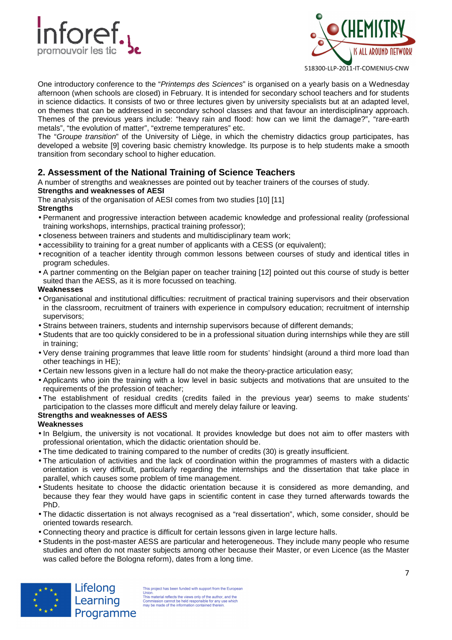



One introductory conference to the "Printemps des Sciences" is organised on a yearly basis on a Wednesday afternoon (when schools are closed) in February. It is intended for secondary school teachers and for students in science didactics. It consists of two or three lectures given by university specialists but at an adapted level, on themes that can be addressed in secondary school classes and that favour an interdisciplinary approach. Themes of the previous years include: "heavy rain and flood: how can we limit the damage?", "rare-earth metals", "the evolution of matter", "extreme temperatures" etc.

The "Groupe transition" of the University of Liège, in which the chemistry didactics group participates, has developed a website [9] covering basic chemistry knowledge. Its purpose is to help students make a smooth transition from secondary school to higher education.

### **2. Assessment of the National Training of Science Teachers**

A number of strengths and weaknesses are pointed out by teacher trainers of the courses of study.

## **Strengths and weaknesses of AESI**

The analysis of the organisation of AESI comes from two studies [10] [11] **Strengths** 

- Permanent and progressive interaction between academic knowledge and professional reality (professional training workshops, internships, practical training professor);
- closeness between trainers and students and multidisciplinary team work;
- accessibility to training for a great number of applicants with a CESS (or equivalent);
- recognition of a teacher identity through common lessons between courses of study and identical titles in program schedules.
- A partner commenting on the Belgian paper on teacher training [12] pointed out this course of study is better suited than the AESS, as it is more focussed on teaching.

#### **Weaknesses**

- Organisational and institutional difficulties: recruitment of practical training supervisors and their observation in the classroom, recruitment of trainers with experience in compulsory education; recruitment of internship supervisors;
- Strains between trainers, students and internship supervisors because of different demands;
- Students that are too quickly considered to be in a professional situation during internships while they are still in training;
- Very dense training programmes that leave little room for students' hindsight (around a third more load than other teachings in HE);
- Certain new lessons given in a lecture hall do not make the theory-practice articulation easy;
- Applicants who join the training with a low level in basic subjects and motivations that are unsuited to the requirements of the profession of teacher;
- The establishment of residual credits (credits failed in the previous year) seems to make students' participation to the classes more difficult and merely delay failure or leaving.

#### **Strengths and weaknesses of AESS**

**Weaknesses** 

- In Belgium, the university is not vocational. It provides knowledge but does not aim to offer masters with professional orientation, which the didactic orientation should be.
- The time dedicated to training compared to the number of credits (30) is greatly insufficient.
- The articulation of activities and the lack of coordination within the programmes of masters with a didactic orientation is very difficult, particularly regarding the internships and the dissertation that take place in parallel, which causes some problem of time management.
- Students hesitate to choose the didactic orientation because it is considered as more demanding, and because they fear they would have gaps in scientific content in case they turned afterwards towards the PhD.
- The didactic dissertation is not always recognised as a "real dissertation", which, some consider, should be oriented towards research.
- Connecting theory and practice is difficult for certain lessons given in large lecture halls.
- Students in the post-master AESS are particular and heterogeneous. They include many people who resume studies and often do not master subjects among other because their Master, or even Licence (as the Master was called before the Bologna reform), dates from a long time.



Lifelong Learning Programme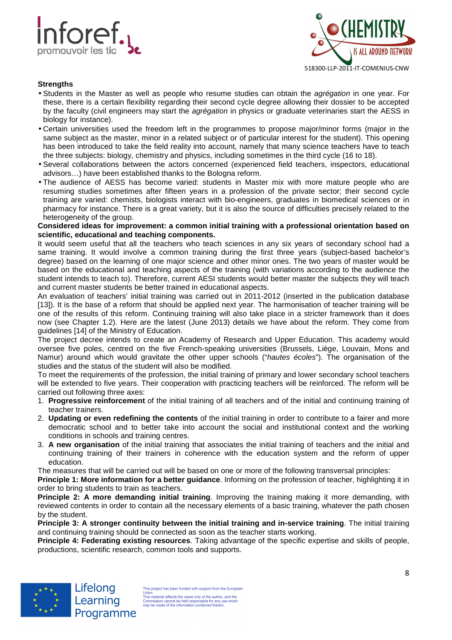



#### **Strengths**

- Students in the Master as well as people who resume studies can obtain the *agrégation* in one year. For these, there is a certain flexibility regarding their second cycle degree allowing their dossier to be accepted by the faculty (civil engineers may start the *agrégation* in physics or graduate veterinaries start the AESS in biology for instance).
- Certain universities used the freedom left in the programmes to propose major/minor forms (major in the same subject as the master, minor in a related subject or of particular interest for the student). This opening has been introduced to take the field reality into account, namely that many science teachers have to teach the three subjects: biology, chemistry and physics, including sometimes in the third cycle (16 to 18).
- Several collaborations between the actors concerned (experienced field teachers, inspectors, educational advisors…) have been established thanks to the Bologna reform.
- The audience of AESS has become varied: students in Master mix with more mature people who are resuming studies sometimes after fifteen years in a profession of the private sector; their second cycle training are varied: chemists, biologists interact with bio-engineers, graduates in biomedical sciences or in pharmacy for instance. There is a great variety, but it is also the source of difficulties precisely related to the heterogeneity of the group.

#### **Considered ideas for improvement: a common initial training with a professional orientation based on scientific, educational and teaching components.**

It would seem useful that all the teachers who teach sciences in any six years of secondary school had a same training. It would involve a common training during the first three years (subject-based bachelor's degree) based on the learning of one major science and other minor ones. The two years of master would be based on the educational and teaching aspects of the training (with variations according to the audience the student intends to teach to). Therefore, current AESI students would better master the subjects they will teach and current master students be better trained in educational aspects.

An evaluation of teachers' initial training was carried out in 2011-2012 (inserted in the publication database [13]). It is the base of a reform that should be applied next year. The harmonisation of teacher training will be one of the results of this reform. Continuing training will also take place in a stricter framework than it does now (see Chapter 1.2). Here are the latest (June 2013) details we have about the reform. They come from guidelines [14] of the Ministry of Education.

The project decree intends to create an Academy of Research and Upper Education. This academy would oversee five poles, centred on the five French-speaking universities (Brussels, Liège, Louvain, Mons and Namur) around which would gravitate the other upper schools ("hautes écoles"). The organisation of the studies and the status of the student will also be modified.

To meet the requirements of the profession, the initial training of primary and lower secondary school teachers will be extended to five years. Their cooperation with practicing teachers will be reinforced. The reform will be carried out following three axes:

- 1. **Progressive reinforcement** of the initial training of all teachers and of the initial and continuing training of teacher trainers.
- 2. **Updating or even redefining the contents** of the initial training in order to contribute to a fairer and more democratic school and to better take into account the social and institutional context and the working conditions in schools and training centres.
- 3. **A new organisation** of the initial training that associates the initial training of teachers and the initial and continuing training of their trainers in coherence with the education system and the reform of upper education.

The measures that will be carried out will be based on one or more of the following transversal principles:

**Principle 1: More information for a better guidance**. Informing on the profession of teacher, highlighting it in order to bring students to train as teachers.

**Principle 2: A more demanding initial training**. Improving the training making it more demanding, with reviewed contents in order to contain all the necessary elements of a basic training, whatever the path chosen by the student.

**Principle 3: A stronger continuity between the initial training and in-service training**. The initial training and continuing training should be connected as soon as the teacher starts working.

**Principle 4: Federating existing resources**. Taking advantage of the specific expertise and skills of people, productions, scientific research, common tools and supports.

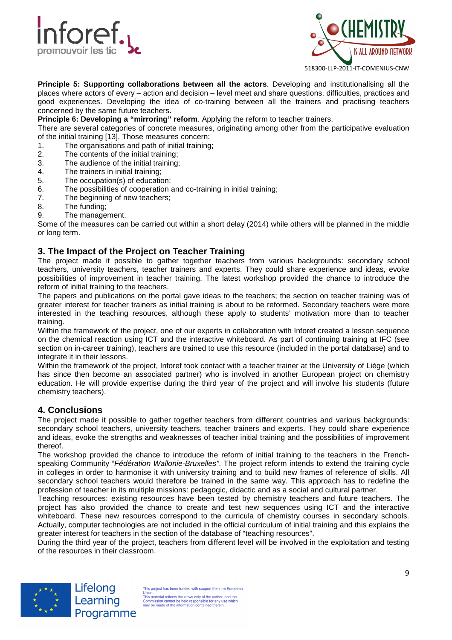



**Principle 5: Supporting collaborations between all the actors**. Developing and institutionalising all the places where actors of every – action and decision – level meet and share questions, difficulties, practices and good experiences. Developing the idea of co-training between all the trainers and practising teachers concerned by the same future teachers.

**Principle 6: Developing a "mirroring" reform**. Applying the reform to teacher trainers.

There are several categories of concrete measures, originating among other from the participative evaluation of the initial training [13]. Those measures concern:

- 1. The organisations and path of initial training;
- 2. The contents of the initial training;
- 3. The audience of the initial training;
- 4. The trainers in initial training;
- 5. The occupation(s) of education;
- 6. The possibilities of cooperation and co-training in initial training;
- 7. The beginning of new teachers;
- 8. The funding;
- 9. The management.

Some of the measures can be carried out within a short delay (2014) while others will be planned in the middle or long term.

#### **3. The Impact of the Project on Teacher Training**

The project made it possible to gather together teachers from various backgrounds: secondary school teachers, university teachers, teacher trainers and experts. They could share experience and ideas, evoke possibilities of improvement in teacher training. The latest workshop provided the chance to introduce the reform of initial training to the teachers.

The papers and publications on the portal gave ideas to the teachers; the section on teacher training was of greater interest for teacher trainers as initial training is about to be reformed. Secondary teachers were more interested in the teaching resources, although these apply to students' motivation more than to teacher training.

Within the framework of the project, one of our experts in collaboration with Inforef created a lesson sequence on the chemical reaction using ICT and the interactive whiteboard. As part of continuing training at IFC (see section on in-career training), teachers are trained to use this resource (included in the portal database) and to integrate it in their lessons.

Within the framework of the project, Inforef took contact with a teacher trainer at the University of Liège (which has since then become an associated partner) who is involved in another European project on chemistry education. He will provide expertise during the third year of the project and will involve his students (future chemistry teachers).

#### **4. Conclusions**

The project made it possible to gather together teachers from different countries and various backgrounds: secondary school teachers, university teachers, teacher trainers and experts. They could share experience and ideas, evoke the strengths and weaknesses of teacher initial training and the possibilities of improvement thereof.

The workshop provided the chance to introduce the reform of initial training to the teachers in the Frenchspeaking Community "Fédération Wallonie-Bruxelles". The project reform intends to extend the training cycle in colleges in order to harmonise it with university training and to build new frames of reference of skills. All secondary school teachers would therefore be trained in the same way. This approach has to redefine the profession of teacher in its multiple missions: pedagogic, didactic and as a social and cultural partner.

Teaching resources: existing resources have been tested by chemistry teachers and future teachers. The project has also provided the chance to create and test new sequences using ICT and the interactive whiteboard. These new resources correspond to the curricula of chemistry courses in secondary schools. Actually, computer technologies are not included in the official curriculum of initial training and this explains the greater interest for teachers in the section of the database of "teaching resources".

During the third year of the project, teachers from different level will be involved in the exploitation and testing of the resources in their classroom.